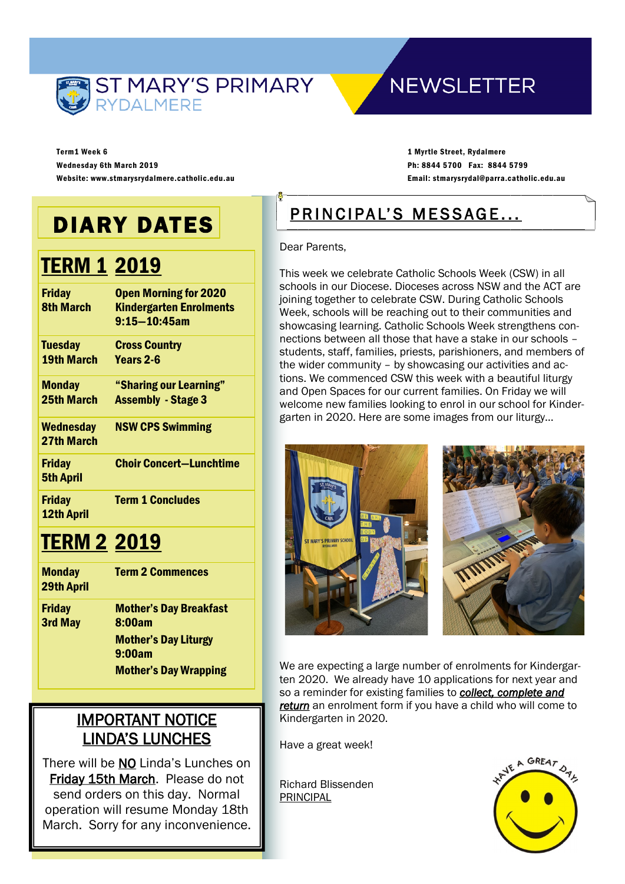

# **NEWSLETTER**

Term1 Week 6 Wednesday 6th March 2019 Website: www.stmarysrydalmere.catholic.edu.au

1 Myrtle Street, Rydalmere Ph: 8844 5700 Fax: 8844 5799 Email: stmarysrydal@parra.catholic.edu.au

# DIARY DATES

# **TERM 1 2019**

| <b>Friday</b><br><b>8th March</b>   | <b>Open Morning for 2020</b><br><b>Kindergarten Enrolments</b><br>$9:15 - 10:45$ am |
|-------------------------------------|-------------------------------------------------------------------------------------|
| <b>Tuesday</b><br><b>19th March</b> | <b>Cross Country</b><br>Years 2-6                                                   |
| <b>Monday</b><br><b>25th March</b>  | "Sharing our Learning"<br><b>Assembly - Stage 3</b>                                 |
| <b>Wednesday</b><br>27th March      | <b>NSW CPS Swimming</b>                                                             |
| <b>Friday</b><br><b>5th April</b>   | <b>Choir Concert-Lunchtime</b>                                                      |
| <b>Friday</b><br><b>12th April</b>  | <b>Term 1 Concludes</b>                                                             |

# **TERM 2 2019**

| <b>Monday</b><br><b>29th April</b> | <b>Term 2 Commences</b>                 |  |
|------------------------------------|-----------------------------------------|--|
| <b>Friday</b><br><b>3rd May</b>    | <b>Mother's Day Breakfast</b><br>8:00am |  |
|                                    | <b>Mother's Day Liturgy</b><br>9:00am   |  |
|                                    | <b>Mother's Day Wrapping</b>            |  |

# IMPORTANT NOTICE LINDA'S LUNCHES

There will be NO Linda's Lunches on Friday 15th March. Please do not send orders on this day. Normal operation will resume Monday 18th March. Sorry for any inconvenience.

# PRINCIPAL'S MESSAGE...

Dear Parents,

This week we celebrate Catholic Schools Week (CSW) in all schools in our Diocese. Dioceses across NSW and the ACT are joining together to celebrate CSW. During Catholic Schools Week, schools will be reaching out to their communities and showcasing learning. Catholic Schools Week strengthens connections between all those that have a stake in our schools – students, staff, families, priests, parishioners, and members of the wider community – by showcasing our activities and actions. We commenced CSW this week with a beautiful liturgy and Open Spaces for our current families. On Friday we will welcome new families looking to enrol in our school for Kindergarten in 2020. Here are some images from our liturgy…





We are expecting a large number of enrolments for Kindergarten 2020. We already have 10 applications for next year and so a reminder for existing families to *collect, complete and return* an enrolment form if you have a child who will come to Kindergarten in 2020.

Have a great week!

Richard Blissenden PRINCIPAL

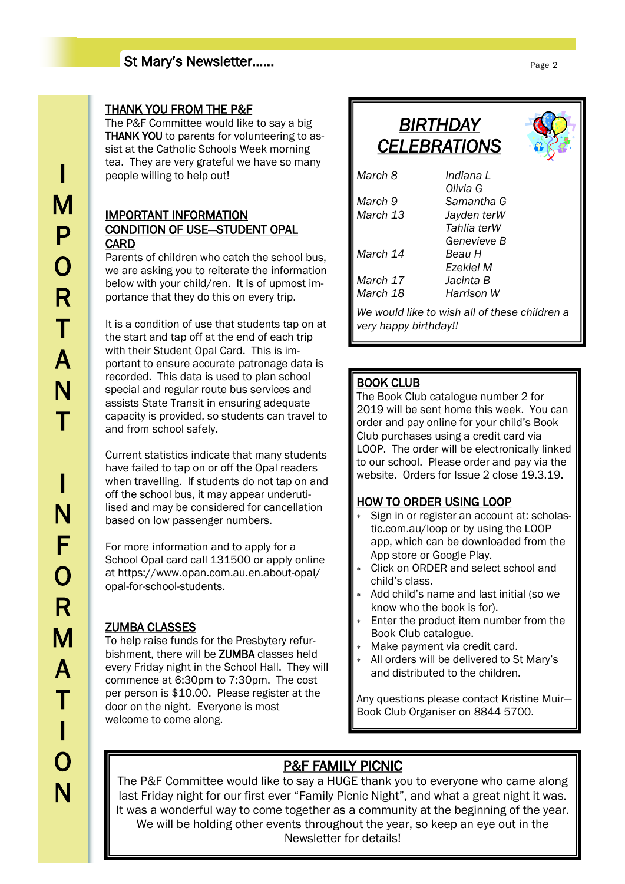## St Mary's Newsletter……

### THANK YOU FROM THE P&F

The P&F Committee would like to say a big THANK YOU to parents for volunteering to assist at the Catholic Schools Week morning tea. They are very grateful we have so many people willing to help out!

## IMPORTANT INFORMATION CONDITION OF USE—STUDENT OPAL **CARD**

Parents of children who catch the school bus, we are asking you to reiterate the information below with your child/ren. It is of upmost importance that they do this on every trip.

It is a condition of use that students tap on at the start and tap off at the end of each trip with their Student Opal Card. This is important to ensure accurate patronage data is recorded. This data is used to plan school special and regular route bus services and assists State Transit in ensuring adequate capacity is provided, so students can travel to and from school safely.

Current statistics indicate that many students have failed to tap on or off the Opal readers when travelling. If students do not tap on and off the school bus, it may appear underutilised and may be considered for cancellation based on low passenger numbers.

For more information and to apply for a School Opal card call 131500 or apply online at https://www.opan.com.au.en.about-opal/ opal-for-school-students.

## ZUMBA CLASSES

To help raise funds for the Presbytery refurbishment, there will be ZUMBA classes held every Friday night in the School Hall. They will commence at 6:30pm to 7:30pm. The cost per person is \$10.00. Please register at the door on the night. Everyone is most welcome to come along.

## *BIRTHDAY CELEBRATIONS March 8 Indiana L Olivia G March 9 Samantha G March 13 Jayden terW Tahlia terW Genevieve B March 14 Beau H Ezekiel M March 17 Jacinta B*

*March 18 Harrison W We would like to wish all of these children a very happy birthday!!*

## BOOK CLUB

The Book Club catalogue number 2 for 2019 will be sent home this week. You can order and pay online for your child's Book Club purchases using a credit card via LOOP. The order will be electronically linked to our school. Please order and pay via the website. Orders for Issue 2 close 19.3.19.

## HOW TO ORDER USING LOOP

- Sign in or register an account at: scholastic.com.au/loop or by using the LOOP app, which can be downloaded from the App store or Google Play.
- Click on ORDER and select school and child's class.
- Add child's name and last initial (so we know who the book is for).
- Enter the product item number from the Book Club catalogue.
- Make payment via credit card.
- All orders will be delivered to St Mary's and distributed to the children.

Any questions please contact Kristine Muir— Book Club Organiser on 8844 5700.

## P&F FAMILY PICNIC

The P&F Committee would like to say a HUGE thank you to everyone who came along last Friday night for our first ever "Family Picnic Night", and what a great night it was. It was a wonderful way to come together as a community at the beginning of the year. We will be holding other events throughout the year, so keep an eye out in the Newsletter for details!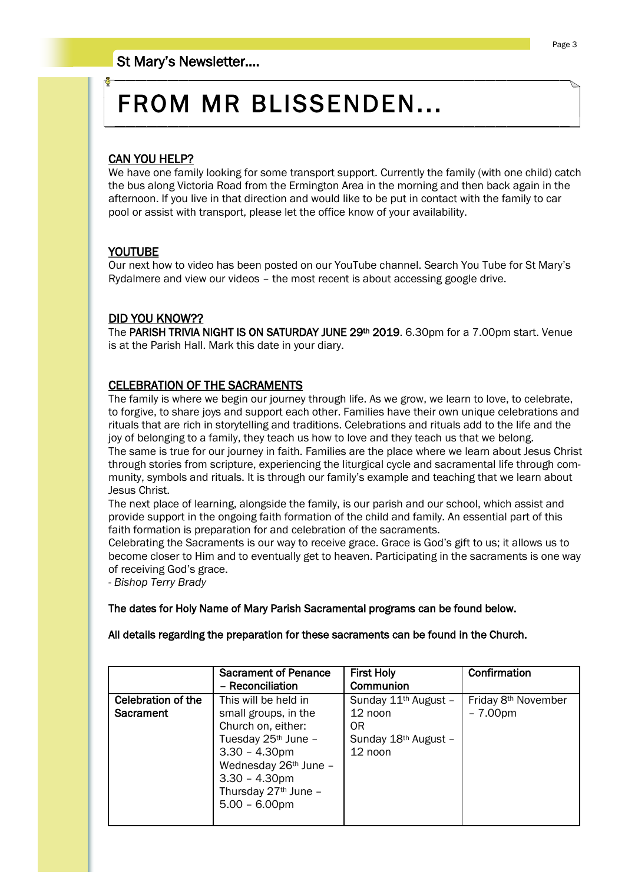# FROM MR BLISSENDEN...

#### CAN YOU HELP?

We have one family looking for some transport support. Currently the family (with one child) catch the bus along Victoria Road from the Ermington Area in the morning and then back again in the afternoon. If you live in that direction and would like to be put in contact with the family to car pool or assist with transport, please let the office know of your availability.

#### YOUTUBE

Our next how to video has been posted on our YouTube channel. Search You Tube for St Mary's Rydalmere and view our videos – the most recent is about accessing google drive.

## DID YOU KNOW??

The PARISH TRIVIA NIGHT IS ON SATURDAY JUNE 29<sup>th</sup> 2019. 6.30pm for a 7.00pm start. Venue is at the Parish Hall. Mark this date in your diary.

#### CELEBRATION OF THE SACRAMENTS

The family is where we begin our journey through life. As we grow, we learn to love, to celebrate, to forgive, to share joys and support each other. Families have their own unique celebrations and rituals that are rich in storytelling and traditions. Celebrations and rituals add to the life and the joy of belonging to a family, they teach us how to love and they teach us that we belong. The same is true for our journey in faith. Families are the place where we learn about Jesus Christ through stories from scripture, experiencing the liturgical cycle and sacramental life through community, symbols and rituals. It is through our family's example and teaching that we learn about Jesus Christ.

The next place of learning, alongside the family, is our parish and our school, which assist and provide support in the ongoing faith formation of the child and family. An essential part of this faith formation is preparation for and celebration of the sacraments.

Celebrating the Sacraments is our way to receive grace. Grace is God's gift to us; it allows us to become closer to Him and to eventually get to heaven. Participating in the sacraments is one way of receiving God's grace.

*- Bishop Terry Brady*

#### The dates for Holy Name of Mary Parish Sacramental programs can be found below.

All details regarding the preparation for these sacraments can be found in the Church.

|                                 | <b>Sacrament of Penance</b><br>- Reconciliation                                                                                                                                                                                | <b>First Holy</b><br>Communion                                                                     | Confirmation                                 |
|---------------------------------|--------------------------------------------------------------------------------------------------------------------------------------------------------------------------------------------------------------------------------|----------------------------------------------------------------------------------------------------|----------------------------------------------|
| Celebration of the<br>Sacrament | This will be held in<br>small groups, in the<br>Church on, either:<br>Tuesday 25 <sup>th</sup> June -<br>$3.30 - 4.30$ pm<br>Wednesday 26th June -<br>$3.30 - 4.30$ pm<br>Thursday 27 <sup>th</sup> June -<br>$5.00 - 6.00$ pm | Sunday 11 <sup>th</sup> August -<br>12 noon<br>0R<br>Sunday 18 <sup>th</sup> August -<br>$12$ noon | Friday 8 <sup>th</sup> November<br>$-7.00pm$ |